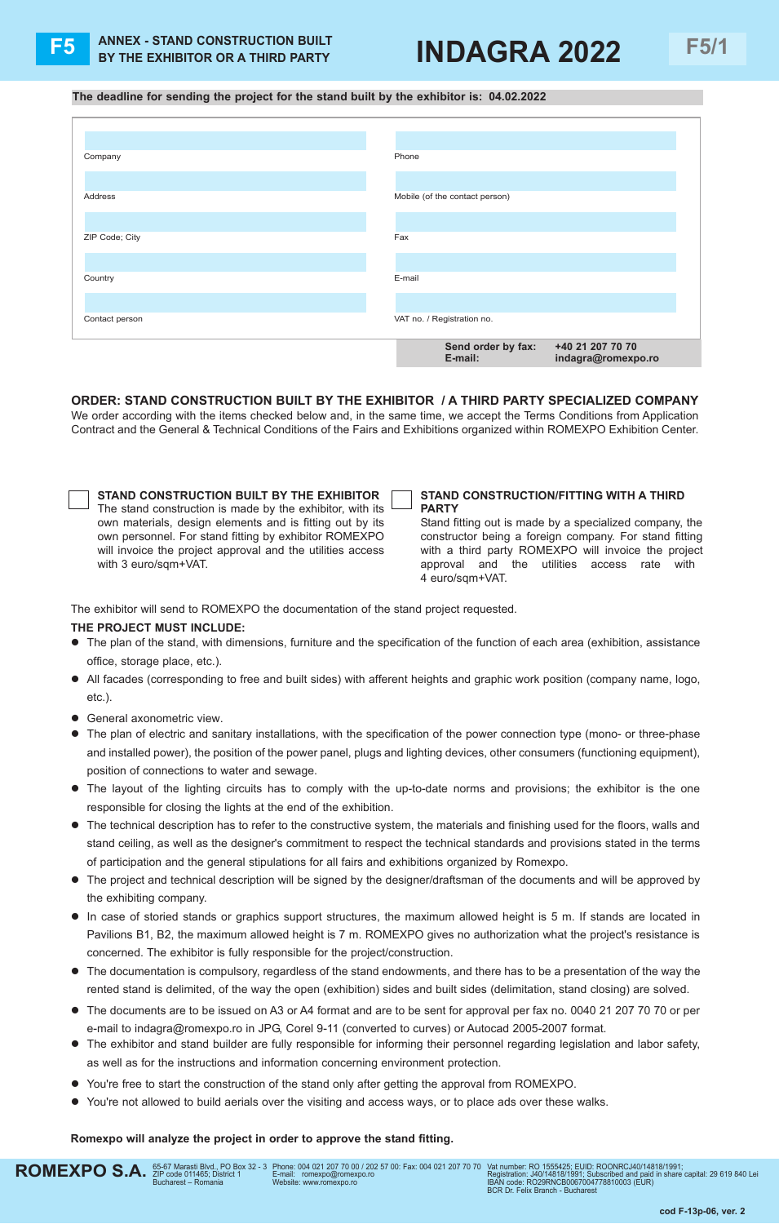# **F5 F5/1 ANNEX - STAND CONSTRUCTION BUILT BY THE EXHIBITOR OR A THIRD PARTY INDAGRA 2022**

## **The deadline for sending the project for the stand built by the exhibitor is: 04.02.2022**

| Company        | Phone                                  |
|----------------|----------------------------------------|
|                |                                        |
| Address        | Mobile (of the contact person)         |
|                |                                        |
| ZIP Code; City | Fax                                    |
|                |                                        |
| Country        | E-mail                                 |
|                |                                        |
| Contact person | VAT no. / Registration no.             |
|                | Send order by fax:<br>+40 21 207 70 70 |
|                | E-mail:<br>indagra@romexpo.ro          |

**ORDER: STAND CONSTRUCTION BUILT BY THE EXHIBITOR / A THIRD PARTY SPECIALIZED COMPANY** We order according with the items checked below and, in the same time, we accept the Terms Conditions from Application

Contract and the General & Technical Conditions of the Fairs and Exhibitions organized within ROMEXPO Exhibition Center.

| STAND CONSTRUCTION BUILT BY THE EXHIBITOR                  |
|------------------------------------------------------------|
| The stand construction is made by the exhibitor, with its  |
| own materials, design elements and is fitting out by its   |
| own personnel. For stand fitting by exhibitor ROMEXPO      |
| will invoice the project approval and the utilities access |
| with 3 euro/sqm+VAT.                                       |

#### **STAND CONSTRUCTION/FITTING WITH A THIRD PARTY**

Stand fitting out is made by a specialized company, the constructor being a foreign company. For stand fitting with a third party ROMEXPO will invoice the project approval and the utilities access rate with 4 euro/sqm+VAT.

The exhibitor will send to ROMEXPO the documentation of the stand project requested.

## **THE PROJECT MUST INCLUDE:**

- l The plan of the stand, with dimensions, furniture and the specification of the function of each area (exhibition, assistance office, storage place, etc.).
- All facades (corresponding to free and built sides) with afferent heights and graphic work position (company name, logo, etc.).
- **•** General axonometric view.
- The plan of electric and sanitary installations, with the specification of the power connection type (mono- or three-phase and installed power), the position of the power panel, plugs and lighting devices, other consumers (functioning equipment), position of connections to water and sewage.
- l The layout of the lighting circuits has to comply with the up-to-date norms and provisions; the exhibitor is the one responsible for closing the lights at the end of the exhibition.
- l The technical description has to refer to the constructive system, the materials and finishing used for the floors, walls and stand ceiling, as well as the designer's commitment to respect the technical standards and provisions stated in the terms of participation and the general stipulations for all fairs and exhibitions organized by Romexpo.
- The project and technical description will be signed by the designer/draftsman of the documents and will be approved by the exhibiting company.
- In case of storied stands or graphics support structures, the maximum allowed height is 5 m. If stands are located in Pavilions B1, B2, the maximum allowed height is 7 m. ROMEXPO gives no authorization what the project's resistance is concerned. The exhibitor is fully responsible for the project/construction.
- $\bullet$  The documentation is compulsory, regardless of the stand endowments, and there has to be a presentation of the way the rented stand is delimited, of the way the open (exhibition) sides and built sides (delimitation, stand closing) are solved.
- The documents are to be issued on A3 or A4 format and are to be sent for approval per fax no. 0040 21 207 70 70 or per e-mail to indagra@romexpo.ro in JPG, Corel 9-11 (converted to curves) or Autocad 2005-2007 format.
- $\bullet$  The exhibitor and stand builder are fully responsible for informing their personnel regarding legislation and labor safety, as well as for the instructions and information concerning environment protection.
- You're free to start the construction of the stand only after getting the approval from ROMEXPO.
- You're not allowed to build aerials over the visiting and access ways, or to place ads over these walks.

## **Romexpo will analyze the project in order to approve the stand fitting.**

Vat number: Ro 1555425; eUID: RooNRCJ40/14818/1991;